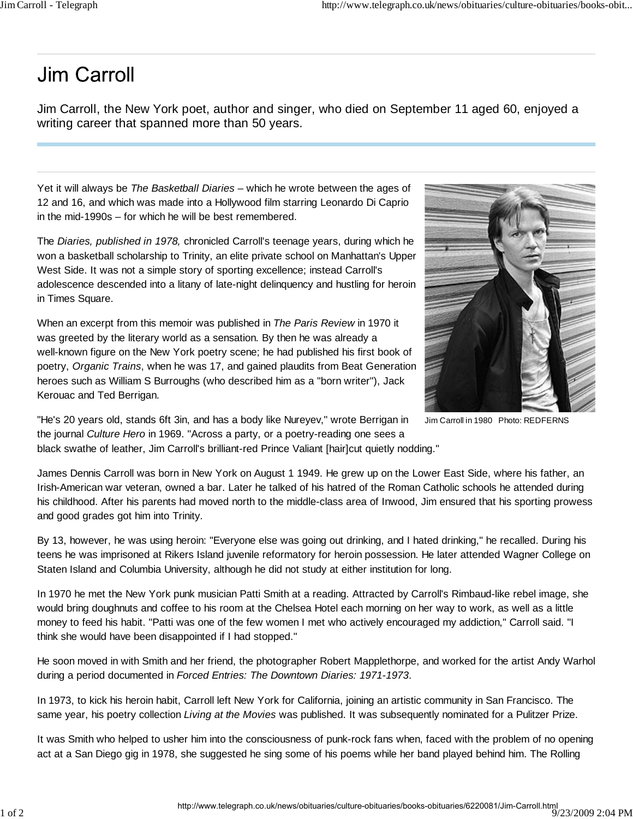## Jim Carroll

and good grades got him into Trinity.

Jim Carroll, the New York poet, author and singer, who died on September 11 aged 60, enjoyed a writing career that spanned more than 50 years.

Yet it will always be *The Basketball Diaries* – which he wrote between the ages of 12 and 16, and which was made into a Hollywood film starring Leonardo Di Caprio in the mid-1990s – for which he will be best remembered.

The *Diaries, published in 1978,* chronicled Carroll's teenage years, during which he won a basketball scholarship to Trinity, an elite private school on Manhattan's Upper West Side. It was not a simple story of sporting excellence; instead Carroll's adolescence descended into a litany of late-night delinquency and hustling for heroin in Times Square.

When an excerpt from this memoir was published in *The Paris Review* in 1970 it was greeted by the literary world as a sensation. By then he was already a well-known figure on the New York poetry scene; he had published his first book of poetry, *Organic Trains*, when he was 17, and gained plaudits from Beat Generation heroes such as William S Burroughs (who described him as a "born writer"), Jack Kerouac and Ted Berrigan.



Jim Carroll in 1980 Photo: REDFERNS

"He's 20 years old, stands 6ft 3in, and has a body like Nureyev," wrote Berrigan in the journal *Culture Hero* in 1969. "Across a party, or a poetry-reading one sees a black swathe of leather, Jim Carroll's brilliant-red Prince Valiant [hair]cut quietly nodding."

James Dennis Carroll was born in New York on August 1 1949. He grew up on the Lower East Side, where his father, an Irish-American war veteran, owned a bar. Later he talked of his hatred of the Roman Catholic schools he attended during his childhood. After his parents had moved north to the middle-class area of Inwood, Jim ensured that his sporting prowess

By 13, however, he was using heroin: "Everyone else was going out drinking, and I hated drinking," he recalled. During his teens he was imprisoned at Rikers Island juvenile reformatory for heroin possession. He later attended Wagner College on Staten Island and Columbia University, although he did not study at either institution for long.

In 1970 he met the New York punk musician Patti Smith at a reading. Attracted by Carroll's Rimbaud-like rebel image, she would bring doughnuts and coffee to his room at the Chelsea Hotel each morning on her way to work, as well as a little money to feed his habit. "Patti was one of the few women I met who actively encouraged my addiction," Carroll said. "I think she would have been disappointed if I had stopped."

He soon moved in with Smith and her friend, the photographer Robert Mapplethorpe, and worked for the artist Andy Warhol during a period documented in *Forced Entries: The Downtown Diaries: 1971-1973*.

In 1973, to kick his heroin habit, Carroll left New York for California, joining an artistic community in San Francisco. The same year, his poetry collection *Living at the Movies* was published. It was subsequently nominated for a Pulitzer Prize.

It was Smith who helped to usher him into the consciousness of punk-rock fans when, faced with the problem of no opening act at a San Diego gig in 1978, she suggested he sing some of his poems while her band played behind him. The Rolling